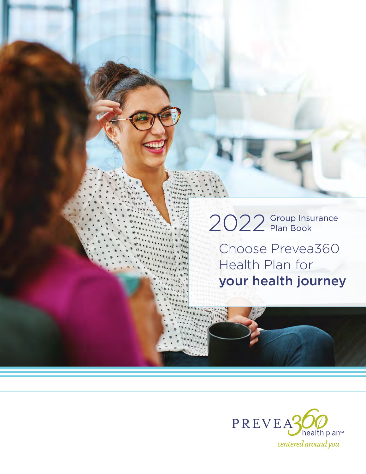# 2022 Group Insurance

Choose Prevea360 Health Plan for your health journey

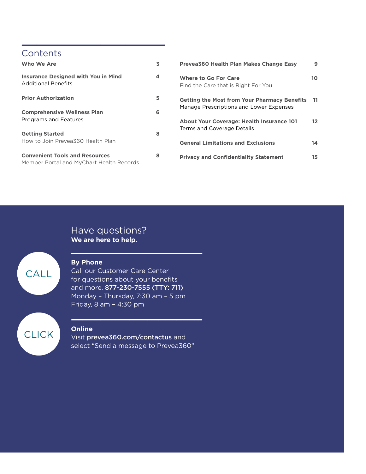#### **Contents**

| Who We Are                                                                        | 3 |
|-----------------------------------------------------------------------------------|---|
| <b>Insurance Designed with You in Mind</b><br><b>Additional Benefits</b>          | 4 |
| <b>Prior Authorization</b>                                                        | 5 |
| <b>Comprehensive Wellness Plan</b><br>Programs and Features                       | 6 |
| <b>Getting Started</b><br>How to Join Prevea360 Health Plan                       | 8 |
| <b>Convenient Tools and Resources</b><br>Member Portal and MyChart Health Records | 8 |

| Prevea360 Health Plan Makes Change Easy                                                        | 9   |
|------------------------------------------------------------------------------------------------|-----|
| <b>Where to Go For Care</b><br>Find the Care that is Right For You                             | 10  |
| <b>Getting the Most from Your Pharmacy Benefits</b><br>Manage Prescriptions and Lower Expenses | 11  |
| <b>About Your Coverage: Health Insurance 101</b><br>Terms and Coverage Details                 | 12. |
| <b>General Limitations and Exclusions</b>                                                      | 14  |
| <b>Privacy and Confidentiality Statement</b>                                                   | 15  |

#### Have questions? **We are here to help.**



#### **By Phone**

Call our Customer Care Center for questions about your benefits and more. 877-230-7555 (TTY: 711) Monday – Thursday, 7:30 am – 5 pm Friday, 8 am – 4:30 pm

#### **Online**

Visit [prevea360.com/contactus](http://prevea360.com/contactus) and select "Send a message to Prevea360"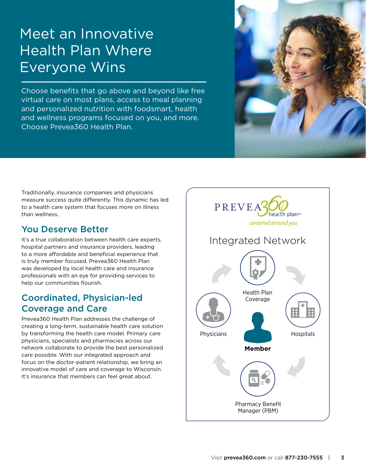## Meet an Innovative Health Plan Where Everyone Wins

Choose benefits that go above and beyond like free virtual care on most plans, access to meal planning and personalized nutrition with foodsmart, health and wellness programs focused on you, and more. Choose Prevea360 Health Plan.



Traditionally, insurance companies and physicians measure success quite differently. This dynamic has led to a health care system that focuses more on illness than wellness.

#### You Deserve Better

It's a true collaboration between health care experts, hospital partners and insurance providers, leading to a more affordable and beneficial experience that is truly member focused. Prevea360 Health Plan was developed by local health care and insurance professionals with an eye for providing services to help our communities flourish.

#### Coordinated, Physician-led Coverage and Care

Prevea360 Health Plan addresses the challenge of creating a long-term, sustainable health care solution by transforming the health care model. Primary care physicians, specialists and pharmacies across our network collaborate to provide the best personalized care possible. With our integrated approach and focus on the doctor-patient relationship, we bring an innovative model of care and coverage to Wisconsin. It's insurance that members can feel great about.

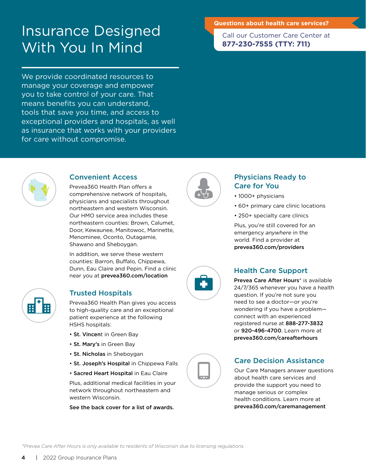#### **Questions about health care services?**

Insurance Designed With You In Mind

We provide coordinated resources to manage your coverage and empower you to take control of your care. That means benefits you can understand, tools that save you time, and access to exceptional providers and hospitals, as well as insurance that works with your providers for care without compromise.

Call our Customer Care Center at **877-230-7555 (TTY: 711)** 



#### Convenient Access

Prevea360 Health Plan offers a comprehensive network of hospitals, physicians and specialists throughout northeastern and western Wisconsin. Our HMO service area includes these northeastern counties: Brown, Calumet, Door, Kewaunee, Manitowoc, Marinette, Menominee, Oconto, Outagamie, Shawano and Sheboygan.

In addition, we serve these western counties: Barron, Buffalo, Chippewa, Dunn, Eau Claire and Pepin. Find a clinic near you at [prevea360.com/location](http://prevea360.com/location) 



#### Trusted Hospitals

Prevea360 Health Plan gives you access to high-quality care and an exceptional patient experience at the following HSHS hospitals:

- St. Vincent in Green Bay
- St. Mary's in Green Bay
- St. Nicholas in Sheboygan
- St. Joseph's Hospital in Chippewa Falls
- Sacred Heart Hospital in Eau Claire

Plus, additional medical facilities in your network throughout northeastern and western Wisconsin.

See the back cover for a list of awards.



#### Physicians Ready to Care for You

- 1000+ physicians
- 60+ primary care clinic locations
- 250+ specialty care clinics

Plus, you're still covered for an emergency *anywhere* in the world. Find a provider at [prevea360.com/providers](http://prevea360.com/providers)

#### Health Care Support

 registered nurse at 888-277-3832 Prevea Care After Hours<sup>\*</sup> is available 24/7/365 whenever you have a health question. If you're not sure you need to see a doctor—or you're wondering if you have a problem connect with an experienced or 920-496-4700. Learn more at [prevea360.com/careafterhours](http://prevea360.com/careafterhours) 

#### Care Decision Assistance

Our Care Managers answer questions about health care services and provide the support you need to manage serious or complex health conditions. Learn more at [prevea360.com/caremanagement](http://prevea360.com/caremanagement)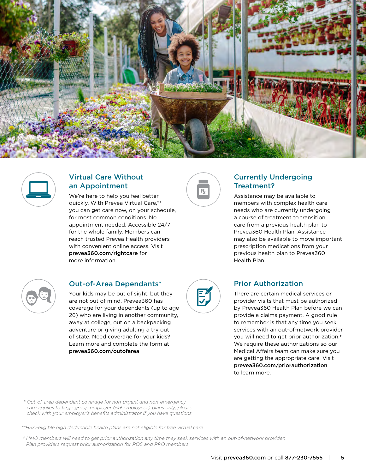



#### Virtual Care Without an Appointment

We're here to help you feel better quickly. With Prevea Virtual Care,\*\* you can get care now, on your schedule, for most common conditions. No appointment needed. Accessible 24/7 for the whole family. Members can reach trusted Prevea Health providers with convenient online access. Visit [prevea360.com/rightcare](http://prevea360.com/rightcare) for more information.



#### Currently Undergoing Treatment?

Assistance may be available to members with complex health care needs who are currently undergoing a course of treatment to transition care from a previous health plan to Prevea360 Health Plan. Assistance may also be available to move important prescription medications from your previous health plan to Prevea360 Health Plan.



#### Out-of-Area Dependants\*

Your kids may be out of sight, but they are not out of mind. Prevea360 has coverage for your dependents (up to age 26) who are living in another community, away at college, out on a backpacking adventure or giving adulting a try out of state. Need coverage for your kids? Learn more and complete the form at [prevea360.com/outofarea](http://prevea360.com/outofarea)



#### Prior Authorization

 [prevea360.com/priorauthorization](http://prevea360.com/priorauthorization) There are certain medical services or provider visits that must be authorized by Prevea360 Health Plan before we can provide a claims payment. A good rule to remember is that any time you seek services with an out-of-network provider, you will need to get prior authorization.† We require these authorizations so our Medical Affairs team can make sure you are getting the appropriate care. Visit to learn more.

*Out-of-area dependent coverage for non-urgent and non-emergency \*care applies to large group employer (51+ employees) plans only; please check with your employer's benefits administrator if you have questions.*

*\*\*HSA-eligible high deductible health plans are not eligible for free virtual care* 

*† HMO members will need to get prior authorization any time they seek services with an out-of-network provider. Plan providers request prior authorization for POS and PPO members.*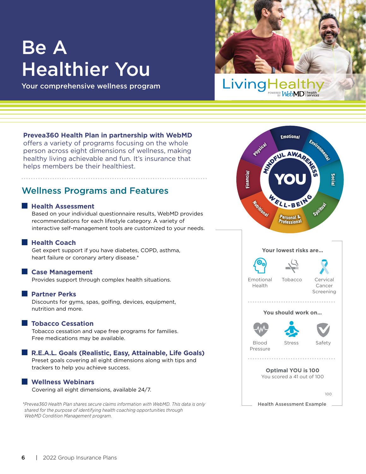## Be A Healthier You

Your comprehensive wellness program

# Livingh

#### **Prevea360 Health Plan in partnership with WebMD**

offers a variety of programs focusing on the whole person across eight dimensions of wellness, making healthy living achievable and fun. It's insurance that helps members be their healthiest.

#### Wellness Programs and Features

#### **Health Assessment**

Based on your individual questionnaire results, WebMD provides recommendations for each lifestyle category. A variety of interactive self-management tools are customized to your needs.

#### **Health Coach**

Get expert support if you have diabetes, COPD, asthma, heart failure or coronary artery disease.\*

#### **Case Management**

Provides support through complex health situations.

#### **Partner Perks**

Discounts for gyms, spas, golfing, devices, equipment, nutrition and more.

#### **Tobacco Cessation**

Tobacco cessation and vape free programs for families. Free medications may be available.

#### **R.E.A.L. Goals (Realistic, Easy, Attainable, Life Goals)**

Preset goals covering all eight dimensions along with tips and trackers to help you achieve success.

#### **Wellness Webinars**

Covering all eight dimensions, available 24/7.

 *\*Prevea360 Health Plan shares secure claims information with WebMD. This data is only shared for the purpose of identifying health coaching opportunities through WebMD Condition Management program.*

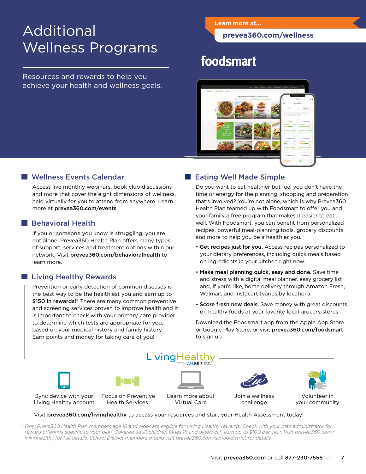## Additional Wellness Programs

Resources and rewards to help you achieve your health and wellness goals.

#### **Learn more at...**

**[prevea360.com/wellness](http://prevea360.com/wellness)** 

### foodsmart



#### Wellness Events Calendar

Access live monthly webinars, book club discussions and more that cover the eight dimensions of wellness, held virtually for you to attend from anywhere. Learn more at [prevea360.com/events](http://prevea360.com/events)

#### **Behavioral Health**

If you or someone you know is struggling, you are not alone. Prevea360 Health Plan offers many types of support, services and treatment options within our network. Visit [prevea360.com/behavioralhealth](http://prevea360.com/behavioralhealth) to learn more.

#### **Living Healthy Rewards**

Prevention or early detection of common diseases is the best way to be the healthiest you and earn up to \$150 in rewards!\* There are many common preventive and screening services proven to improve health and it is important to check with your primary care provider to determine which tests are appropriate for you, based on your medical history and family history. Earn points and money for taking care of you!

#### Eating Well Made Simple

Do you want to eat healthier but feel you don't have the time or energy for the planning, shopping and preparation that's involved? You're not alone, which is why Prevea360 Health Plan teamed up with Foodsmart to offer you and your family a free program that makes it easier to eat well. With Foodsmart, you can benefit from personalized recipes, powerful meal-planning tools, grocery discounts and more to help you be a healthier you.

- Get recipes just for you. Access recipes personalized to your dietary preferences, including quick meals based on ingredients in your kitchen right now.
- Make meal planning quick, easy and done. Save time and stress with a digital meal planner, easy grocery list and, if you'd like, home delivery through Amazon Fresh, Walmart and Instacart (varies by location).
- Score fresh new deals. Save money with great discounts on healthy foods at your favorite local grocery stores.

or Google Play Store, or visit [prevea360.com/foodsmart](http://prevea360.com/foodsmart) Download the Foodsmart app from the Apple App Store to sign up.



Visit [prevea360.com/livinghealthy](http://prevea360.com/livinghealthy) to access your resources and start your Health Assessment today!

*\* Only Preve360 Health Plan members age 18 and older are eligible for Living Healthy rewards. Check with your plan administrator for*  reward offerings specific to your plan. Covered adult children (ages 18 and older) can earn up to \$100 per year. Visit [prevea360.com/](http://prevea360.com/livinghealthy) *[livinghealthy](http://prevea360.com/livinghealthy) for full details. School District members should visit [prevea360.com/schooldistrict](http://prevea360.com/schooldistrict) for details.*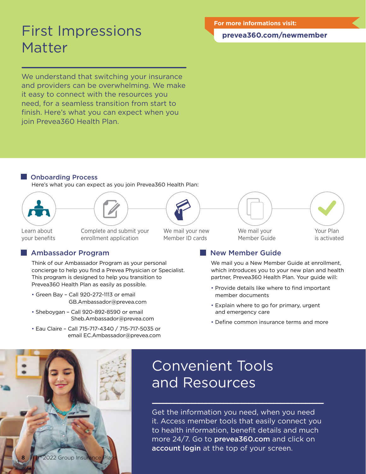## First Impressions Matter

We understand that switching your insurance and providers can be overwhelming. We make it easy to connect with the resources you need, for a seamless transition from start to finish. Here's what you can expect when you join Prevea360 Health Plan.

#### **[prevea360.com/newmember](http://prevea360.com/newmember)**

#### Onboarding Process

Here's what you can expect as you join Prevea360 Health Plan:





#### Ambassador Program

Think of our Ambassador Program as your personal concierge to help you find a Prevea Physician or Specialist. This program is designed to help you transition to Prevea360 Health Plan as easily as possible.

- Green Bay Call 920-272-1113 or email [GB.Ambassador@prevea.com](mailto:GB.Ambassador@prevea.com)
- Sheboygan Call 920-892-8590 or email [Sheb.Ambassador@prevea.com](mailto:Sheb.Ambassador@prevea.com)
- Eau Claire Call 715-717-4340 / 715-717-5035 or email [EC.Ambassador@prevea.com](mailto:EC.Ambassador@prevea.com)

Learn about Complete and submit your We mail your new your benefits enrollment application Member ID cards

Member Guide is activated



#### New Member Guide

We mail you a New Member Guide at enrollment, which introduces you to your new plan and health partner, Prevea360 Health Plan. Your guide will:

- Provide details like where to find important member documents
- Explain where to go for primary, urgent and emergency care
- Define common insurance terms and more



## Convenient Tools and Resources

Get the information you need, when you need it. Access member tools that easily connect you to health information, benefit details and much more 24/7. Go to **prevea360.com** and click on account login at the top of your screen.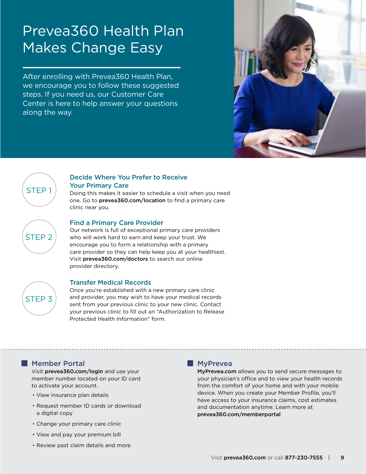## Prevea360 Health Plan Makes Change Easy

After enrolling with Prevea360 Health Plan, we encourage you to follow these suggested steps. If you need us, our Customer Care Center is here to help answer your questions along the way.





#### Decide Where You Prefer to Receive Your Primary Care

Doing this makes it easier to schedule a visit when you need one. Go to [prevea360.com/location](http://prevea360.com/location) to find a primary care clinic near you.

# STEP 2

#### Find a Primary Care Provider

Our network is full of exceptional primary care providers who will work hard to earn and keep your trust. We encourage you to form a relationship with a primary care provider so they can help keep you at your healthiest. Visit [prevea360.com/doctors](http://prevea360.com/doctors) to search our online provider directory.



#### Transfer Medical Records

Once you're established with a new primary care clinic and provider, you may wish to have your medical records sent from your previous clinic to your new clinic. Contact your previous clinic to fill out an "Authorization to Release Protected Health Information" form.

#### Member Portal

Visit [prevea360.com/login](http://prevea360.com/login) and use your member number located on your ID card to activate your account.

- View insurance plan details
- Request member ID cards or download a digital copy
- Change your primary care clinic
- View and pay your premium bill
- Review past claim details and more

#### **MyPrevea**

[MyPrevea.com](http://MyPrevea.com) allows you to send secure messages to your physician's office and to view your health records from the comfort of your home and with your mobile device. When you create your Member Profile, you'll have access to your insurance claims, cost estimates and documentation anytime. Learn more at [prevea360.com/memberportal](http://prevea360.com/memberportal)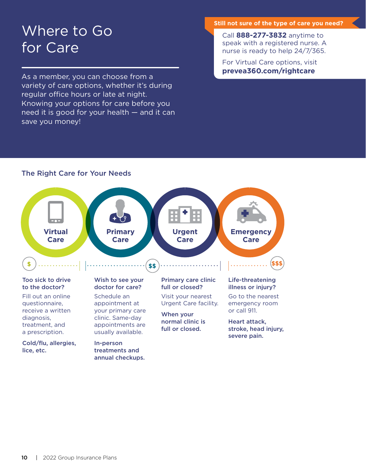## Where to Go for Care

As a member, you can choose from a variety of care options, whether it's during regular office hours or late at night. Knowing your options for care before you need it is good for your health — and it can save you money!

#### **Still not sure of the type of care you need?**

Call **888-277-3832** anytime to speak with a registered nurse. A nurse is ready to help 24/7/365.

For Virtual Care options, visit **[prevea360.com/rightcare](http://prevea360.com/rightcare)** 

#### The Right Care for Your Needs

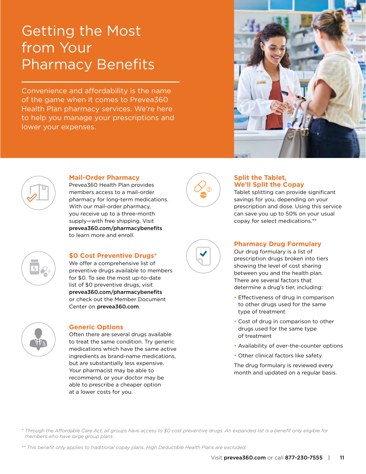## Getting the Most from Your Pharmacy Benefits

Convenience and affordability is the name of the game when it comes to Prevea360 Health Plan pharmacy services. We're here to help you manage your prescriptions and lower your expenses.





#### **Mail-Order Pharmacy**

Prevea360 Health Plan provides members access to a mail-order pharmacy for long-term medications. With our mail-order pharmacy, you receive up to a three-month supply—with free shipping. Visit [prevea360.com/pharmacybenefits](http://prevea360.com/pharmacybenefits) to learn more and enroll.



#### **Split the Tablet, We'll Split the Copay**

Tablet splitting can provide significant savings for you, depending on your prescription and dose. Using this service can save you up to 50% on your usual copay for select medications.\*\*



#### **\$0 Cost Preventive Drugs\***

 [prevea360.com/pharmacybenefits](http://prevea360.com/pharmacybenefits) We offer a comprehensive list of preventive drugs available to members for \$0. To see the most up-to-date list of \$0 preventive drugs, visit or check out the Member Document Center on [prevea360.com](http://prevea360.com).



#### **Generic Options**

Often there are several drugs available to treat the same condition. Try generic medications which have the same active ingredients as brand-name medications, but are substantially less expensive. Your pharmacist may be able to recommend, or your doctor may be able to prescribe a cheaper option at a lower costs for you.



#### **Pharmacy Drug Formulary**

Our drug formulary is a list of prescription drugs broken into tiers showing the level of cost sharing between you and the health plan. There are several factors that determine a drug's tier, including:

- Effectiveness of drug in comparison to other drugs used for the same type of treatment
- • Cost of drug in comparison to other drugs used for the same type of treatment
- Availability of over-the-counter options
- Other clinical factors like safety

The drug formulary is reviewed every month and updated on a regular basis.

*\* Through the Afordable Care Act, all groups have access to \$0 cost preventive drugs. An expanded list is a beneft only eligible for members who have large group plans.* 

*\*\* This beneft only applies to traditional copay plans. High Deductible Health Plans are excluded.*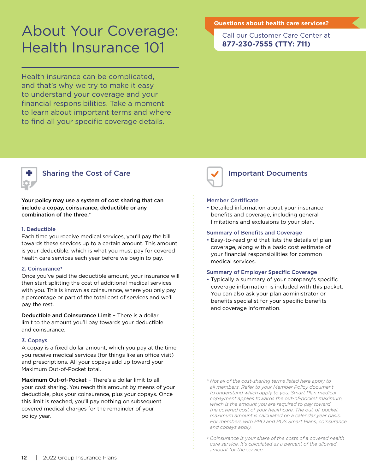## About Your Coverage: Health Insurance 101

Health insurance can be complicated, and that's why we try to make it easy to understand your coverage and your financial responsibilities. Take a moment to learn about important terms and where to find all your specific coverage details.

#### **Questions about health care services?**

Call our Customer Care Center at **877-230-7555 (TTY: 711)** 



#### Sharing the Cost of Care

Your policy may use a system of cost sharing that can include a copay, coinsurance, deductible or any combination of the three.\*

#### 1. Deductible

Each time you receive medical services, you'll pay the bill towards these services up to a certain amount. This amount is your deductible, which is what you must pay for covered health care services each year before we begin to pay.

#### 2. Coinsurance†

Once you've paid the deductible amount, your insurance will then start splitting the cost of additional medical services with you. This is known as coinsurance, where you only pay a percentage or part of the total cost of services and we'll pay the rest.

Deductible and Coinsurance Limit – There is a dollar limit to the amount you'll pay towards your deductible and coinsurance.

#### 3. Copays

A copay is a fixed dollar amount, which you pay at the time you receive medical services (for things like an office visit) and prescriptions. All your copays add up toward your Maximum Out-of-Pocket total.

Maximum Out-of-Pocket – There's a dollar limit to all your cost sharing. You reach this amount by means of your deductible, plus your coinsurance, plus your copays. Once this limit is reached, you'll pay nothing on subsequent covered medical charges for the remainder of your policy year.



#### Important Documents

#### Member Certificate

• Detailed information about your insurance benefits and coverage, including general limitations and exclusions to your plan.

#### Summary of Benefits and Coverage

• Easy-to-read grid that lists the details of plan coverage, along with a basic cost estimate of your financial responsibilities for common medical services.

#### Summary of Employer Specific Coverage

• Typically a summary of your company's specific coverage information is included with this packet. You can also ask your plan administrator or benefits specialist for your specific benefits and coverage information.

*<sup>\*</sup> Not all of the cost-sharing terms listed here apply to all members. Refer to your Member Policy document to understand which apply to you. Smart Plan medical copayment applies towards the out-of-pocket maximum, which is the amount you are required to pay toward the covered cost of your healthcare. The out-of-pocket maximum amount is calculated on a calendar year basis. For members with PPO and POS Smart Plans, coinsurance and copays apply.* 

*<sup>†</sup> Coinsurance is your share of the costs of a covered health care service. It's calculated as a percent of the allowed amount for the service.*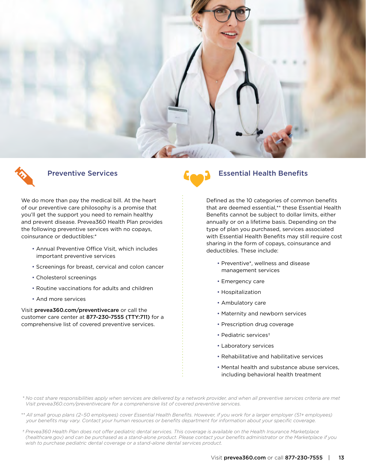



We do more than pay the medical bill. At the heart of our preventive care philosophy is a promise that you'll get the support you need to remain healthy and prevent disease. Prevea360 Health Plan provides the following preventive services with no copays, coinsurance or deductibles:\*

- Annual Preventive Office Visit, which includes important preventive services
- Screenings for breast, cervical and colon cancer
- Cholesterol screenings
- Routine vaccinations for adults and children
- And more services

Visit [prevea360.com/preventivecare](http://prevea360.com/preventivecare) or call the customer care center at 877-230-7555 (TTY:711) for a comprehensive list of covered preventive services.

#### Preventive Services **Essential Health Benefits**

Defined as the 10 categories of common benefits that are deemed essential,\*\* these Essential Health Benefits cannot be subject to dollar limits, either annually or on a lifetime basis. Depending on the type of plan you purchased, services associated with Essential Health Benefits may still require cost sharing in the form of copays, coinsurance and deductibles. These include:

- Preventive\*, wellness and disease management services
- Emergency care
- Hospitalization
- Ambulatory care
- Maternity and newborn services
- Prescription drug coverage
- Pediatric services†
- Laboratory services
- Rehabilitative and habilitative services
- Mental health and substance abuse services, including behavioral health treatment
- *\* No cost share responsibilities apply when services are delivered by a network provider, and when all preventive services criteria are met Visit [prevea360.com/preventivecare](http://prevea360.com/preventivecare) for a comprehensive list of covered preventive services.*
- *\*\* All small group plans (2–50 employees) cover Essential Health Benefts. However, if you work for a larger employer (51+ employees) your benefts may vary. Contact your human resources or benefts department for information about your specifc coverage.*
- *† Prevea360 Health Plan does not ofer pediatric dental services. This coverage is available on the Health Insurance Marketplace [\(healthcare.gov](http://healthcare.gov)) and can be purchased as a stand-alone product. Please contact your benefts administrator or the Marketplace if you wish to purchase pediatric dental coverage or a stand-alone dental services product.*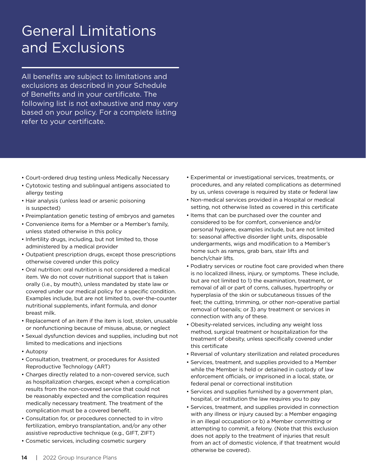## General Limitations and Exclusions

All benefits are subject to limitations and exclusions as described in your Schedule of Benefits and in your certificate. The following list is not exhaustive and may vary based on your policy. For a complete listing refer to your certificate.

- Court-ordered drug testing unless Medically Necessary
- Cytotoxic testing and sublingual antigens associated to allergy testing
- Hair analysis (unless lead or arsenic poisoning is suspected)
- Preimplantation genetic testing of embryos and gametes
- Convenience items for a Member or a Member's family, unless stated otherwise in this policy
- Infertility drugs, including, but not limited to, those administered by a medical provider
- Outpatient prescription drugs, except those prescriptions otherwise covered under this policy
- Oral nutrition: oral nutrition is not considered a medical item. We do not cover nutritional support that is taken orally (i.e., by mouth), unless mandated by state law or covered under our medical policy for a specific condition. Examples include, but are not limited to, over-the-counter nutritional supplements, infant formula, and donor breast milk.
- Replacement of an item if the item is lost, stolen, unusable or nonfunctioning because of misuse, abuse, or neglect
- Sexual dysfunction devices and supplies, including but not limited to medications and injections
- Autopsy
- Consultation, treatment, or procedures for Assisted Reproductive Technology (ART)
- Charges directly related to a non-covered service, such as hospitalization charges, except when a complication results from the non-covered service that could not be reasonably expected and the complication requires medically necessary treatment. The treatment of the complication must be a covered benefit.
- Consultation for, or procedures connected to in vitro fertilization, embryo transplantation, and/or any other assistive reproductive technique (e.g., GIFT, ZIFT)
- Cosmetic services, including cosmetic surgery
- Experimental or investigational services, treatments, or procedures, and any related complications as determined by us, unless coverage is required by state or federal law
- Non-medical services provided in a Hospital or medical setting, not otherwise listed as covered in this certificate
- Items that can be purchased over the counter and considered to be for comfort, convenience and/or personal hygiene, examples include, but are not limited to: seasonal affective disorder light units, disposable undergarments, wigs and modification to a Member's home such as ramps, grab bars, stair lifts and bench/chair lifts.
- Podiatry services or routine foot care provided when there is no localized illness, injury, or symptoms. These include, but are not limited to 1) the examination, treatment, or removal of all or part of corns, calluses, hypertrophy or hyperplasia of the skin or subcutaneous tissues of the feet; the cutting, trimming, or other non-operative partial removal of toenails; or 3) any treatment or services in connection with any of these.
- Obesity-related services, including any weight loss method, surgical treatment or hospitalization for the treatment of obesity, unless specifically covered under this certificate
- Reversal of voluntary sterilization and related procedures
- Services, treatment, and supplies provided to a Member while the Member is held or detained in custody of law enforcement officials, or imprisoned in a local, state, or federal penal or correctional institution
- Services and supplies furnished by a government plan, hospital, or institution the law requires you to pay
- Services, treatment, and supplies provided in connection with any illness or injury caused by: a Member engaging in an illegal occupation or b) a Member committing or attempting to commit, a felony. (Note that this exclusion does not apply to the treatment of injuries that result from an act of domestic violence, if that treatment would otherwise be covered).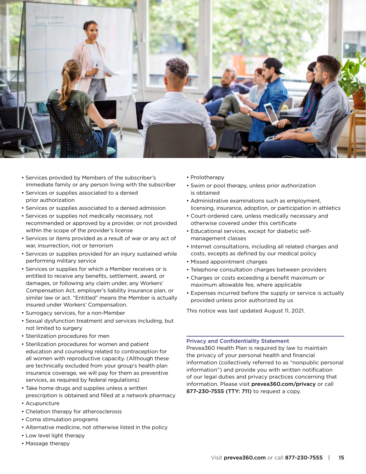

- Services provided by Members of the subscriber's immediate family or any person living with the subscriber
- Services or supplies associated to a denied prior authorization
- Services or supplies associated to a denied admission
- Services or supplies not medically necessary, not recommended or approved by a provider, or not provided within the scope of the provider's license
- Services or items provided as a result of war or any act of war, insurrection, riot or terrorism
- Services or supplies provided for an injury sustained while performing military service
- Services or supplies for which a Member receives or is entitled to receive any benefits, settlement, award, or damages, or following any claim under, any Workers' Compensation Act, employer's liability insurance plan, or similar law or act. "Entitled" means the Member is actually insured under Workers' Compensation.
- Surrogacy services, for a non-Member
- Sexual dysfunction treatment and services including, but not limited to surgery
- Sterilization procedures for men
- Sterilization procedures for women and patient education and counseling related to contraception for all women with reproductive capacity. (Although these are technically excluded from your group's health plan insurance coverage, we will pay for them as preventive services, as required by federal regulations)
- Take home drugs and supplies unless a written prescription is obtained and filled at a network pharmacy
- Acupuncture
- Chelation therapy for atherosclerosis
- Coma stimulation programs
- Alternative medicine, not otherwise listed in the policy
- Low level light therapy
- Massage therapy
- Prolotherapy
- Swim or pool therapy, unless prior authorization is obtained
- Administrative examinations such as employment, licensing, insurance, adoption, or participation in athletics
- Court-ordered care, unless medically necessary and otherwise covered under this certificate
- Educational services, except for diabetic selfmanagement classes
- Internet consultations, including all related charges and costs, excepts as defined by our medical policy
- Missed appointment charges
- Telephone consultation charges between providers
- Charges or costs exceeding a benefit maximum or maximum allowable fee, where applicable
- Expenses incurred before the supply or service is actually provided unless prior authorized by us

This notice was last updated August 11, 2021.

#### Privacy and Confidentiality Statement

Prevea360 Health Plan is required by law to maintain the privacy of your personal health and financial information (collectively referred to as "nonpublic personal information") and provide you with written notification of our legal duties and privacy practices concerning that information. Please visit [prevea360.com/privacy](http://prevea360.com/privacy) or call 877-230-7555 (TTY: 711) to request a copy.